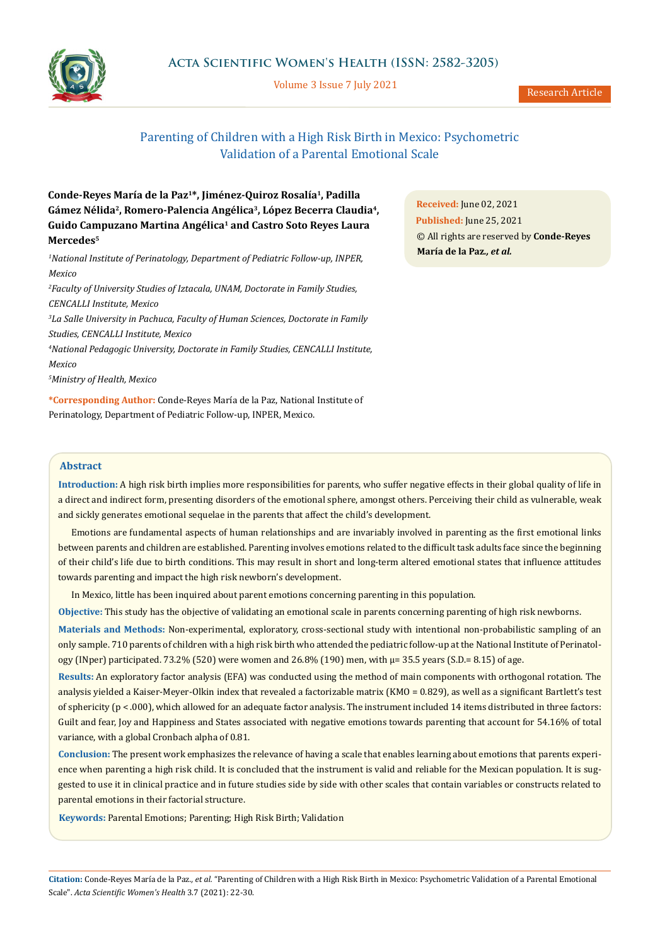

Volume 3 Issue 7 July 2021

# Parenting of Children with a High Risk Birth in Mexico: Psychometric Validation of a Parental Emotional Scale

# **Conde-Reyes María de la Paz1\*, Jiménez-Quiroz Rosalía1, Padilla**  Gámez Nélida<sup>2</sup>, Romero-Palencia Angélica<sup>3</sup>, López Becerra Claudia<sup>4</sup>, **Guido Campuzano Martina Angélica1 and Castro Soto Reyes Laura Mercedes5**

*1 National Institute of Perinatology, Department of Pediatric Follow-up, INPER, Mexico*

*2 Faculty of University Studies of Iztacala, UNAM, Doctorate in Family Studies, CENCALLI Institute, Mexico 3 La Salle University in Pachuca, Faculty of Human Sciences, Doctorate in Family* 

*Studies, CENCALLI Institute, Mexico*

*4 National Pedagogic University, Doctorate in Family Studies, CENCALLI Institute,* 

*Mexico*

*5 Ministry of Health, Mexico*

**\*Corresponding Author:** Conde-Reyes María de la Paz, National Institute of Perinatology, Department of Pediatric Follow-up, INPER, Mexico.

**Received:** June 02, 2021 **Published:** June 25, 2021 © All rights are reserved by **Conde-Reyes María de la Paz***., et al.*

# **Abstract**

**Introduction:** A high risk birth implies more responsibilities for parents, who suffer negative effects in their global quality of life in a direct and indirect form, presenting disorders of the emotional sphere, amongst others. Perceiving their child as vulnerable, weak and sickly generates emotional sequelae in the parents that affect the child's development.

Emotions are fundamental aspects of human relationships and are invariably involved in parenting as the first emotional links between parents and children are established. Parenting involves emotions related to the difficult task adults face since the beginning of their child's life due to birth conditions. This may result in short and long-term altered emotional states that influence attitudes towards parenting and impact the high risk newborn's development.

In Mexico, little has been inquired about parent emotions concerning parenting in this population.

**Objective:** This study has the objective of validating an emotional scale in parents concerning parenting of high risk newborns.

**Materials and Methods:** Non-experimental, exploratory, cross-sectional study with intentional non-probabilistic sampling of an only sample. 710 parents of children with a high risk birth who attended the pediatric follow-up at the National Institute of Perinatology (INper) participated. 73.2% (520) were women and 26.8% (190) men, with  $\mu$ = 35.5 years (S.D.= 8.15) of age.

**Results:** An exploratory factor analysis (EFA) was conducted using the method of main components with orthogonal rotation. The analysis yielded a Kaiser-Meyer-Olkin index that revealed a factorizable matrix (KMO = 0.829), as well as a significant Bartlett's test of sphericity (p < .000), which allowed for an adequate factor analysis. The instrument included 14 items distributed in three factors: Guilt and fear, Joy and Happiness and States associated with negative emotions towards parenting that account for 54.16% of total variance, with a global Cronbach alpha of 0.81.

**Conclusion:** The present work emphasizes the relevance of having a scale that enables learning about emotions that parents experience when parenting a high risk child. It is concluded that the instrument is valid and reliable for the Mexican population. It is suggested to use it in clinical practice and in future studies side by side with other scales that contain variables or constructs related to parental emotions in their factorial structure.

**Keywords:** Parental Emotions; Parenting; High Risk Birth; Validation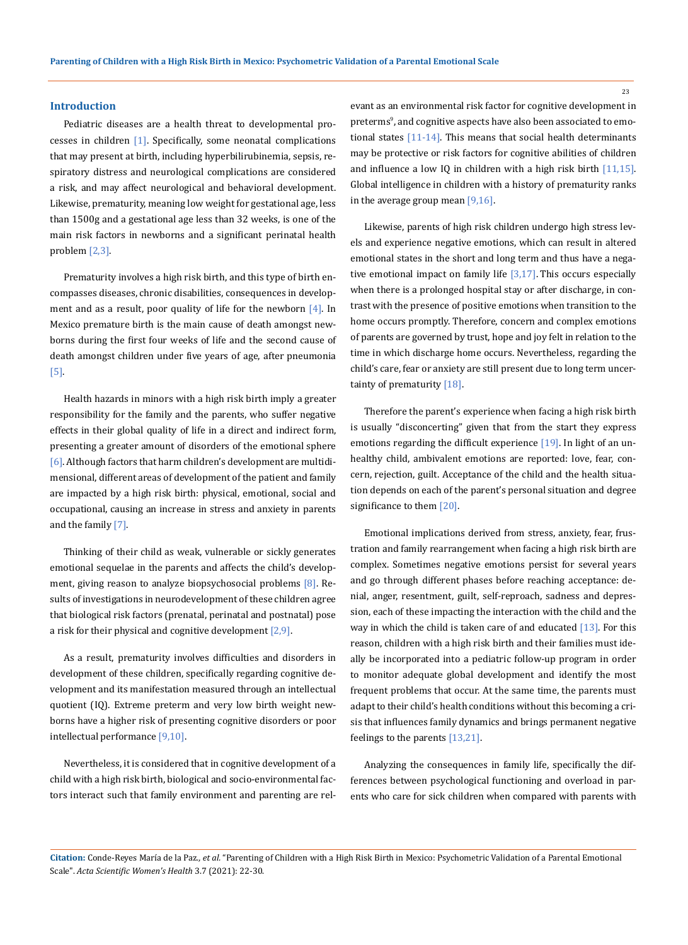#### **Introduction**

Pediatric diseases are a health threat to developmental processes in children  $[1]$ . Specifically, some neonatal complications that may present at birth, including hyperbilirubinemia, sepsis, respiratory distress and neurological complications are considered a risk, and may affect neurological and behavioral development. Likewise, prematurity, meaning low weight for gestational age, less than 1500g and a gestational age less than 32 weeks, is one of the main risk factors in newborns and a significant perinatal health problem [2,3].

Prematurity involves a high risk birth, and this type of birth encompasses diseases, chronic disabilities, consequences in development and as a result, poor quality of life for the newborn  $[4]$ . In Mexico premature birth is the main cause of death amongst newborns during the first four weeks of life and the second cause of death amongst children under five years of age, after pneumonia [5].

Health hazards in minors with a high risk birth imply a greater responsibility for the family and the parents, who suffer negative effects in their global quality of life in a direct and indirect form, presenting a greater amount of disorders of the emotional sphere [6]. Although factors that harm children's development are multidimensional, different areas of development of the patient and family are impacted by a high risk birth: physical, emotional, social and occupational, causing an increase in stress and anxiety in parents and the family [7].

Thinking of their child as weak, vulnerable or sickly generates emotional sequelae in the parents and affects the child's development, giving reason to analyze biopsychosocial problems [8]. Results of investigations in neurodevelopment of these children agree that biological risk factors (prenatal, perinatal and postnatal) pose a risk for their physical and cognitive development  $[2,9]$ .

As a result, prematurity involves difficulties and disorders in development of these children, specifically regarding cognitive development and its manifestation measured through an intellectual quotient (IQ). Extreme preterm and very low birth weight newborns have a higher risk of presenting cognitive disorders or poor intellectual performance [9,10].

Nevertheless, it is considered that in cognitive development of a child with a high risk birth, biological and socio-environmental factors interact such that family environment and parenting are relevant as an environmental risk factor for cognitive development in preterms<sup>9</sup>, and cognitive aspects have also been associated to emotional states [11-14]. This means that social health determinants may be protective or risk factors for cognitive abilities of children and influence a low IQ in children with a high risk birth [11,15]. Global intelligence in children with a history of prematurity ranks in the average group mean [9,16].

Likewise, parents of high risk children undergo high stress levels and experience negative emotions, which can result in altered emotional states in the short and long term and thus have a negative emotional impact on family life  $[3,17]$ . This occurs especially when there is a prolonged hospital stay or after discharge, in contrast with the presence of positive emotions when transition to the home occurs promptly. Therefore, concern and complex emotions of parents are governed by trust, hope and joy felt in relation to the time in which discharge home occurs. Nevertheless, regarding the child's care, fear or anxiety are still present due to long term uncertainty of prematurity [18].

Therefore the parent's experience when facing a high risk birth is usually "disconcerting" given that from the start they express emotions regarding the difficult experience [19]. In light of an unhealthy child, ambivalent emotions are reported: love, fear, concern, rejection, guilt. Acceptance of the child and the health situation depends on each of the parent's personal situation and degree significance to them [20].

Emotional implications derived from stress, anxiety, fear, frustration and family rearrangement when facing a high risk birth are complex. Sometimes negative emotions persist for several years and go through different phases before reaching acceptance: denial, anger, resentment, guilt, self-reproach, sadness and depression, each of these impacting the interaction with the child and the way in which the child is taken care of and educated  $[13]$ . For this reason, children with a high risk birth and their families must ideally be incorporated into a pediatric follow-up program in order to monitor adequate global development and identify the most frequent problems that occur. At the same time, the parents must adapt to their child's health conditions without this becoming a crisis that influences family dynamics and brings permanent negative feelings to the parents [13,21].

Analyzing the consequences in family life, specifically the differences between psychological functioning and overload in parents who care for sick children when compared with parents with

**Citation:** Conde-Reyes María de la Paz*., et al.* "Parenting of Children with a High Risk Birth in Mexico: Psychometric Validation of a Parental Emotional Scale". *Acta Scientific Women's Health* 3.7 (2021): 22-30.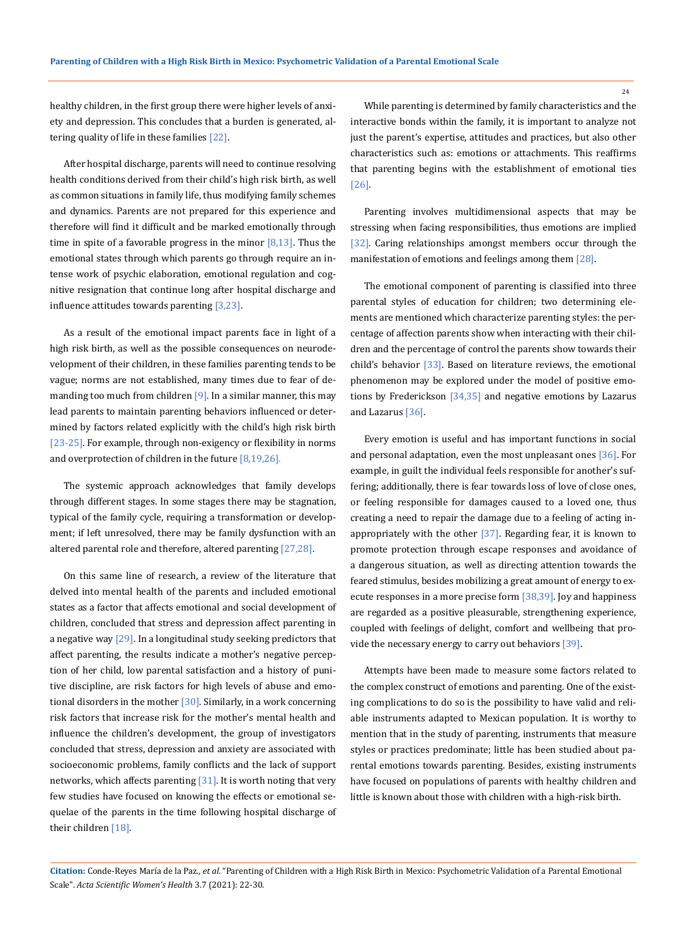healthy children, in the first group there were higher levels of anxiety and depression. This concludes that a burden is generated, altering quality of life in these families [22].

After hospital discharge, parents will need to continue resolving health conditions derived from their child's high risk birth, as well as common situations in family life, thus modifying family schemes and dynamics. Parents are not prepared for this experience and therefore will find it difficult and be marked emotionally through time in spite of a favorable progress in the minor  $[8,13]$ . Thus the emotional states through which parents go through require an intense work of psychic elaboration, emotional regulation and cognitive resignation that continue long after hospital discharge and influence attitudes towards parenting [3,23].

As a result of the emotional impact parents face in light of a high risk birth, as well as the possible consequences on neurodevelopment of their children, in these families parenting tends to be vague; norms are not established, many times due to fear of demanding too much from children  $[9]$ . In a similar manner, this may lead parents to maintain parenting behaviors influenced or determined by factors related explicitly with the child's high risk birth [23-25]. For example, through non-exigency or flexibility in norms and overprotection of children in the future [8,19,26].

The systemic approach acknowledges that family develops through different stages. In some stages there may be stagnation, typical of the family cycle, requiring a transformation or development; if left unresolved, there may be family dysfunction with an altered parental role and therefore, altered parenting [27,28].

On this same line of research, a review of the literature that delved into mental health of the parents and included emotional states as a factor that affects emotional and social development of children, concluded that stress and depression affect parenting in a negative way  $\left[29\right]$ . In a longitudinal study seeking predictors that affect parenting, the results indicate a mother's negative perception of her child, low parental satisfaction and a history of punitive discipline, are risk factors for high levels of abuse and emotional disorders in the mother [30]. Similarly, in a work concerning risk factors that increase risk for the mother's mental health and influence the children's development, the group of investigators concluded that stress, depression and anxiety are associated with socioeconomic problems, family conflicts and the lack of support networks, which affects parenting  $[31]$ . It is worth noting that very few studies have focused on knowing the effects or emotional sequelae of the parents in the time following hospital discharge of their children [18].

While parenting is determined by family characteristics and the interactive bonds within the family, it is important to analyze not just the parent's expertise, attitudes and practices, but also other characteristics such as: emotions or attachments. This reaffirms that parenting begins with the establishment of emotional ties [26].

Parenting involves multidimensional aspects that may be stressing when facing responsibilities, thus emotions are implied [32]. Caring relationships amongst members occur through the manifestation of emotions and feelings among them [28].

The emotional component of parenting is classified into three parental styles of education for children; two determining elements are mentioned which characterize parenting styles: the percentage of affection parents show when interacting with their children and the percentage of control the parents show towards their child's behavior [33]. Based on literature reviews, the emotional phenomenon may be explored under the model of positive emotions by Frederickson [34,35] and negative emotions by Lazarus and Lazarus [36].

Every emotion is useful and has important functions in social and personal adaptation, even the most unpleasant ones [36]. For example, in guilt the individual feels responsible for another's suffering; additionally, there is fear towards loss of love of close ones, or feeling responsible for damages caused to a loved one, thus creating a need to repair the damage due to a feeling of acting inappropriately with the other [37]. Regarding fear, it is known to promote protection through escape responses and avoidance of a dangerous situation, as well as directing attention towards the feared stimulus, besides mobilizing a great amount of energy to execute responses in a more precise form [38,39]. Joy and happiness are regarded as a positive pleasurable, strengthening experience, coupled with feelings of delight, comfort and wellbeing that provide the necessary energy to carry out behaviors [39].

Attempts have been made to measure some factors related to the complex construct of emotions and parenting. One of the existing complications to do so is the possibility to have valid and reliable instruments adapted to Mexican population. It is worthy to mention that in the study of parenting, instruments that measure styles or practices predominate; little has been studied about parental emotions towards parenting. Besides, existing instruments have focused on populations of parents with healthy children and little is known about those with children with a high-risk birth.

**Citation:** Conde-Reyes María de la Paz*., et al.* "Parenting of Children with a High Risk Birth in Mexico: Psychometric Validation of a Parental Emotional Scale". *Acta Scientific Women's Health* 3.7 (2021): 22-30.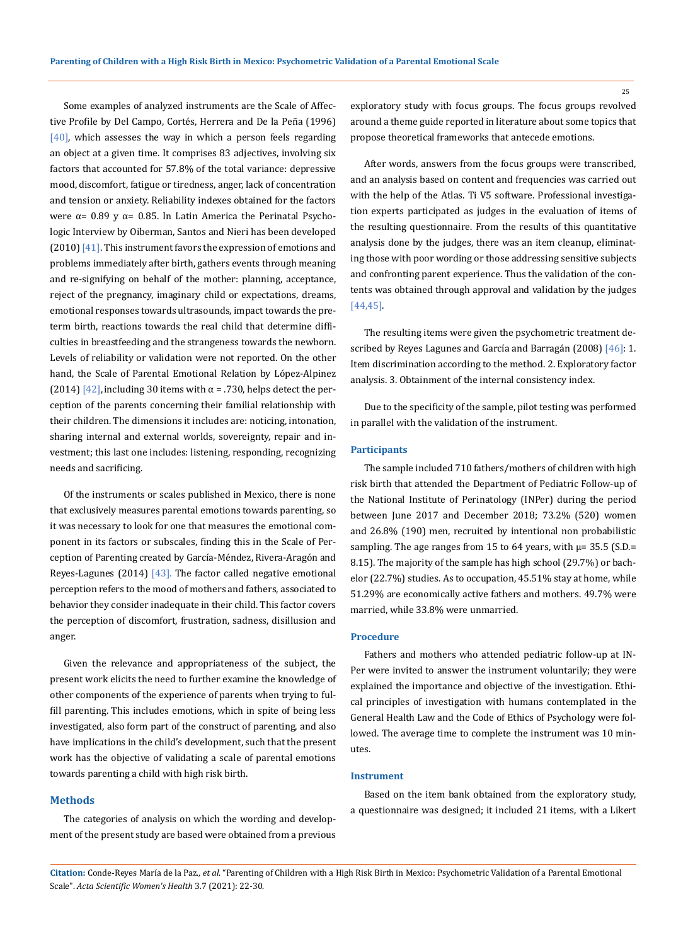Some examples of analyzed instruments are the Scale of Affective Profile by Del Campo, Cortés, Herrera and De la Peña (1996)  $[40]$ , which assesses the way in which a person feels regarding an object at a given time. It comprises 83 adjectives, involving six factors that accounted for 57.8% of the total variance: depressive mood, discomfort, fatigue or tiredness, anger, lack of concentration and tension or anxiety. Reliability indexes obtained for the factors were  $\alpha$  = 0.89 y  $\alpha$  = 0.85. In Latin America the Perinatal Psychologic Interview by Oiberman, Santos and Nieri has been developed  $(2010)$  [41]. This instrument favors the expression of emotions and problems immediately after birth, gathers events through meaning and re-signifying on behalf of the mother: planning, acceptance, reject of the pregnancy, imaginary child or expectations, dreams, emotional responses towards ultrasounds, impact towards the preterm birth, reactions towards the real child that determine difficulties in breastfeeding and the strangeness towards the newborn. Levels of reliability or validation were not reported. On the other hand, the Scale of Parental Emotional Relation by López-Alpinez (2014) [42], including 30 items with  $\alpha$  = .730, helps detect the perception of the parents concerning their familial relationship with their children. The dimensions it includes are: noticing, intonation, sharing internal and external worlds, sovereignty, repair and investment; this last one includes: listening, responding, recognizing needs and sacrificing.

Of the instruments or scales published in Mexico, there is none that exclusively measures parental emotions towards parenting, so it was necessary to look for one that measures the emotional component in its factors or subscales, finding this in the Scale of Perception of Parenting created by García-Méndez, Rivera-Aragón and Reyes-Lagunes  $(2014)$   $[43]$ . The factor called negative emotional perception refers to the mood of mothers and fathers, associated to behavior they consider inadequate in their child. This factor covers the perception of discomfort, frustration, sadness, disillusion and anger.

Given the relevance and appropriateness of the subject, the present work elicits the need to further examine the knowledge of other components of the experience of parents when trying to fulfill parenting. This includes emotions, which in spite of being less investigated, also form part of the construct of parenting, and also have implications in the child's development, such that the present work has the objective of validating a scale of parental emotions towards parenting a child with high risk birth.

#### **Methods**

The categories of analysis on which the wording and development of the present study are based were obtained from a previous exploratory study with focus groups. The focus groups revolved around a theme guide reported in literature about some topics that propose theoretical frameworks that antecede emotions.

After words, answers from the focus groups were transcribed, and an analysis based on content and frequencies was carried out with the help of the Atlas. Ti V5 software. Professional investigation experts participated as judges in the evaluation of items of the resulting questionnaire. From the results of this quantitative analysis done by the judges, there was an item cleanup, eliminating those with poor wording or those addressing sensitive subjects and confronting parent experience. Thus the validation of the contents was obtained through approval and validation by the judges [44,45].

The resulting items were given the psychometric treatment described by Reyes Lagunes and García and Barragán (2008) [46]: 1. Item discrimination according to the method. 2. Exploratory factor analysis. 3. Obtainment of the internal consistency index.

Due to the specificity of the sample, pilot testing was performed in parallel with the validation of the instrument.

#### **Participants**

The sample included 710 fathers/mothers of children with high risk birth that attended the Department of Pediatric Follow-up of the National Institute of Perinatology (INPer) during the period between June 2017 and December 2018; 73.2% (520) women and 26.8% (190) men, recruited by intentional non probabilistic sampling. The age ranges from 15 to 64 years, with  $\mu$ = 35.5 (S.D.= 8.15). The majority of the sample has high school (29.7%) or bachelor (22.7%) studies. As to occupation, 45.51% stay at home, while 51.29% are economically active fathers and mothers. 49.7% were married, while 33.8% were unmarried.

#### **Procedure**

Fathers and mothers who attended pediatric follow-up at IN-Per were invited to answer the instrument voluntarily; they were explained the importance and objective of the investigation. Ethical principles of investigation with humans contemplated in the General Health Law and the Code of Ethics of Psychology were followed. The average time to complete the instrument was 10 minutes.

### **Instrument**

Based on the item bank obtained from the exploratory study, a questionnaire was designed; it included 21 items, with a Likert

**Citation:** Conde-Reyes María de la Paz*., et al.* "Parenting of Children with a High Risk Birth in Mexico: Psychometric Validation of a Parental Emotional Scale". *Acta Scientific Women's Health* 3.7 (2021): 22-30.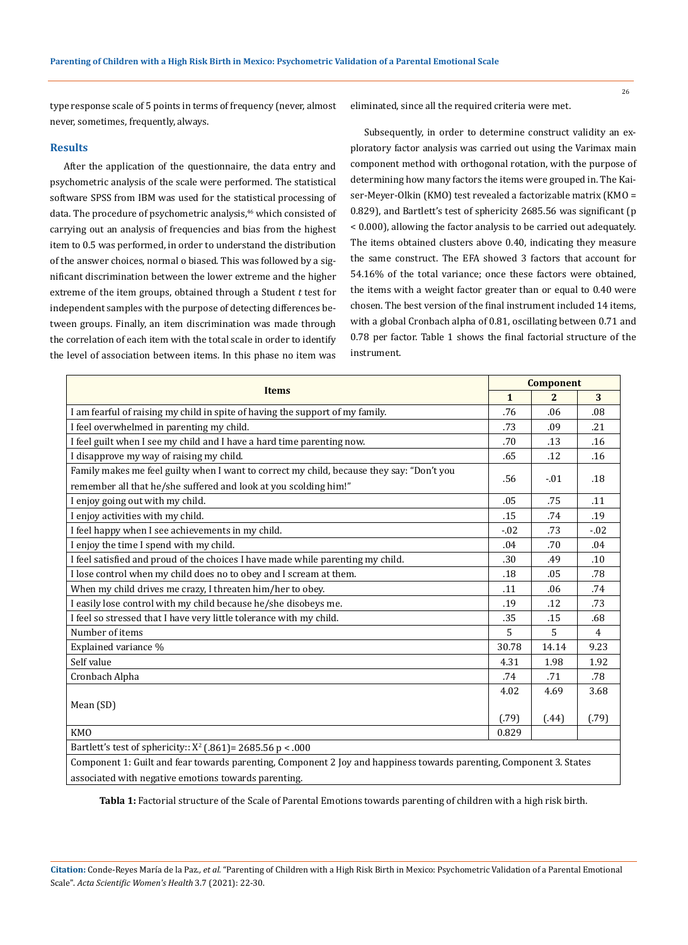26

type response scale of 5 points in terms of frequency (never, almost never, sometimes, frequently, always.

# **Results**

After the application of the questionnaire, the data entry and psychometric analysis of the scale were performed. The statistical software SPSS from IBM was used for the statistical processing of data. The procedure of psychometric analysis,<sup>46</sup> which consisted of carrying out an analysis of frequencies and bias from the highest item to 0.5 was performed, in order to understand the distribution of the answer choices, normal o biased. This was followed by a significant discrimination between the lower extreme and the higher extreme of the item groups, obtained through a Student *t* test for independent samples with the purpose of detecting differences between groups. Finally, an item discrimination was made through the correlation of each item with the total scale in order to identify the level of association between items. In this phase no item was eliminated, since all the required criteria were met.

Subsequently, in order to determine construct validity an exploratory factor analysis was carried out using the Varimax main component method with orthogonal rotation, with the purpose of determining how many factors the items were grouped in. The Kaiser-Meyer-Olkin (KMO) test revealed a factorizable matrix (KMO = 0.829), and Bartlett's test of sphericity 2685.56 was significant (p < 0.000), allowing the factor analysis to be carried out adequately. The items obtained clusters above 0.40, indicating they measure the same construct. The EFA showed 3 factors that account for 54.16% of the total variance; once these factors were obtained, the items with a weight factor greater than or equal to 0.40 were chosen. The best version of the final instrument included 14 items, with a global Cronbach alpha of 0.81, oscillating between 0.71 and 0.78 per factor. Table 1 shows the final factorial structure of the instrument.

| <b>Items</b>                                                                                                                                                  | <b>Component</b> |                |                |
|---------------------------------------------------------------------------------------------------------------------------------------------------------------|------------------|----------------|----------------|
|                                                                                                                                                               | $\mathbf{1}$     | $\overline{2}$ | 3              |
| I am fearful of raising my child in spite of having the support of my family.                                                                                 | .76              | .06            | .08            |
| I feel overwhelmed in parenting my child.                                                                                                                     | .73              | .09            | .21            |
| I feel guilt when I see my child and I have a hard time parenting now.                                                                                        | .70              | .13            | .16            |
| I disapprove my way of raising my child.                                                                                                                      | .65              | .12            | .16            |
| Family makes me feel guilty when I want to correct my child, because they say: "Don't you<br>remember all that he/she suffered and look at you scolding him!" | .56              | $-.01$         | .18            |
| I enjoy going out with my child.                                                                                                                              | .05              | .75            | .11            |
| I enjoy activities with my child.                                                                                                                             | .15              | .74            | .19            |
| I feel happy when I see achievements in my child.                                                                                                             | $-.02$           | .73            | $-.02$         |
| I enjoy the time I spend with my child.                                                                                                                       | .04              | .70            | .04            |
| I feel satisfied and proud of the choices I have made while parenting my child.                                                                               | .30              | .49            | .10            |
| I lose control when my child does no to obey and I scream at them.                                                                                            | .18              | .05            | .78            |
| When my child drives me crazy, I threaten him/her to obey.                                                                                                    | .11              | .06            | .74            |
| I easily lose control with my child because he/she disobeys me.                                                                                               | .19              | .12            | .73            |
| I feel so stressed that I have very little tolerance with my child.                                                                                           | .35              | .15            | .68            |
| Number of items                                                                                                                                               | 5                | 5              | $\overline{4}$ |
| Explained variance %                                                                                                                                          | 30.78            | 14.14          | 9.23           |
| Self value                                                                                                                                                    | 4.31             | 1.98           | 1.92           |
| Cronbach Alpha                                                                                                                                                | .74              | .71            | .78            |
|                                                                                                                                                               | 4.02             | 4.69           | 3.68           |
| Mean (SD)                                                                                                                                                     | (.79)            | (.44)          | (.79)          |
| KM <sub>O</sub>                                                                                                                                               | 0.829            |                |                |
| Bartlett's test of sphericity:: $X^2$ (.861) = 2685.56 p < .000                                                                                               |                  |                |                |

Component 1: Guilt and fear towards parenting, Component 2 Joy and happiness towards parenting, Component 3. States associated with negative emotions towards parenting.

**Tabla 1:** Factorial structure of the Scale of Parental Emotions towards parenting of children with a high risk birth.

**Citation:** Conde-Reyes María de la Paz*., et al.* "Parenting of Children with a High Risk Birth in Mexico: Psychometric Validation of a Parental Emotional Scale". *Acta Scientific Women's Health* 3.7 (2021): 22-30.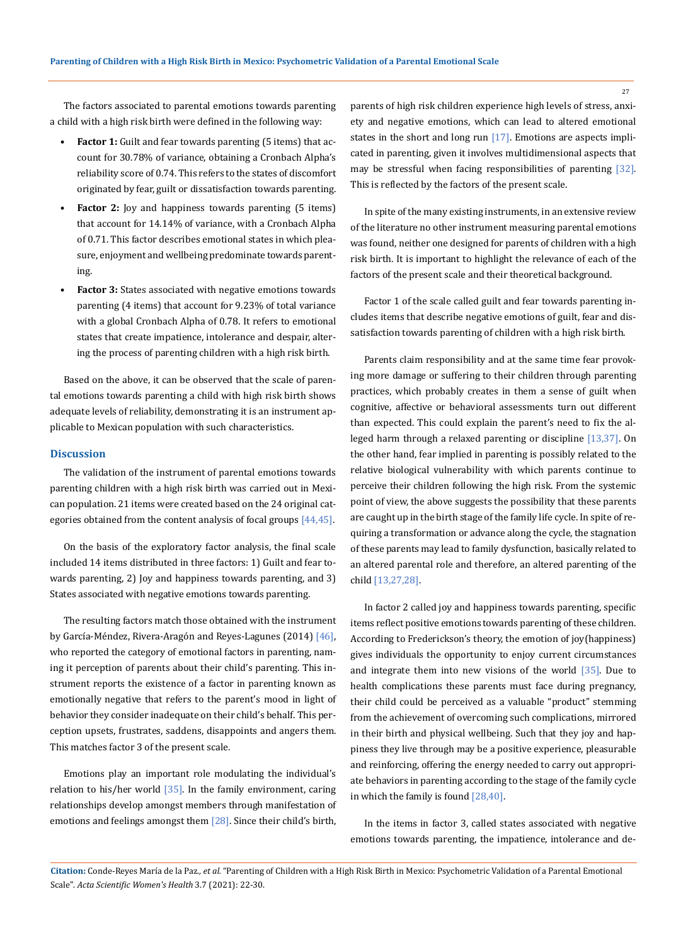The factors associated to parental emotions towards parenting a child with a high risk birth were defined in the following way:

- **Factor 1:** Guilt and fear towards parenting (5 items) that account for 30.78% of variance, obtaining a Cronbach Alpha's reliability score of 0.74. This refers to the states of discomfort originated by fear, guilt or dissatisfaction towards parenting.
- **Factor 2:** Joy and happiness towards parenting (5 items) that account for 14.14% of variance, with a Cronbach Alpha of 0.71. This factor describes emotional states in which pleasure, enjoyment and wellbeing predominate towards parenting.
- **• Factor 3:** States associated with negative emotions towards parenting (4 items) that account for 9.23% of total variance with a global Cronbach Alpha of 0.78. It refers to emotional states that create impatience, intolerance and despair, altering the process of parenting children with a high risk birth.

Based on the above, it can be observed that the scale of parental emotions towards parenting a child with high risk birth shows adequate levels of reliability, demonstrating it is an instrument applicable to Mexican population with such characteristics.

### **Discussion**

The validation of the instrument of parental emotions towards parenting children with a high risk birth was carried out in Mexican population. 21 items were created based on the 24 original categories obtained from the content analysis of focal groups [44,45].

On the basis of the exploratory factor analysis, the final scale included 14 items distributed in three factors: 1) Guilt and fear towards parenting, 2) Joy and happiness towards parenting, and 3) States associated with negative emotions towards parenting.

The resulting factors match those obtained with the instrument by García-Méndez, Rivera-Aragón and Reyes-Lagunes (2014) [46], who reported the category of emotional factors in parenting, naming it perception of parents about their child's parenting. This instrument reports the existence of a factor in parenting known as emotionally negative that refers to the parent's mood in light of behavior they consider inadequate on their child's behalf. This perception upsets, frustrates, saddens, disappoints and angers them. This matches factor 3 of the present scale.

Emotions play an important role modulating the individual's relation to his/her world [35]. In the family environment, caring relationships develop amongst members through manifestation of emotions and feelings amongst them [28]. Since their child's birth,

parents of high risk children experience high levels of stress, anxiety and negative emotions, which can lead to altered emotional states in the short and long run [17]. Emotions are aspects implicated in parenting, given it involves multidimensional aspects that may be stressful when facing responsibilities of parenting [32]. This is reflected by the factors of the present scale.

In spite of the many existing instruments, in an extensive review of the literature no other instrument measuring parental emotions was found, neither one designed for parents of children with a high risk birth. It is important to highlight the relevance of each of the factors of the present scale and their theoretical background.

Factor 1 of the scale called guilt and fear towards parenting includes items that describe negative emotions of guilt, fear and dissatisfaction towards parenting of children with a high risk birth.

Parents claim responsibility and at the same time fear provoking more damage or suffering to their children through parenting practices, which probably creates in them a sense of guilt when cognitive, affective or behavioral assessments turn out different than expected. This could explain the parent's need to fix the alleged harm through a relaxed parenting or discipline [13,37]. On the other hand, fear implied in parenting is possibly related to the relative biological vulnerability with which parents continue to perceive their children following the high risk. From the systemic point of view, the above suggests the possibility that these parents are caught up in the birth stage of the family life cycle. In spite of requiring a transformation or advance along the cycle, the stagnation of these parents may lead to family dysfunction, basically related to an altered parental role and therefore, an altered parenting of the child [13,27,28].

In factor 2 called joy and happiness towards parenting, specific items reflect positive emotions towards parenting of these children. According to Frederickson's theory, the emotion of joy(happiness) gives individuals the opportunity to enjoy current circumstances and integrate them into new visions of the world [35]. Due to health complications these parents must face during pregnancy, their child could be perceived as a valuable "product" stemming from the achievement of overcoming such complications, mirrored in their birth and physical wellbeing. Such that they joy and happiness they live through may be a positive experience, pleasurable and reinforcing, offering the energy needed to carry out appropriate behaviors in parenting according to the stage of the family cycle in which the family is found [28,40].

In the items in factor 3, called states associated with negative emotions towards parenting, the impatience, intolerance and de-

**Citation:** Conde-Reyes María de la Paz*., et al.* "Parenting of Children with a High Risk Birth in Mexico: Psychometric Validation of a Parental Emotional Scale". *Acta Scientific Women's Health* 3.7 (2021): 22-30.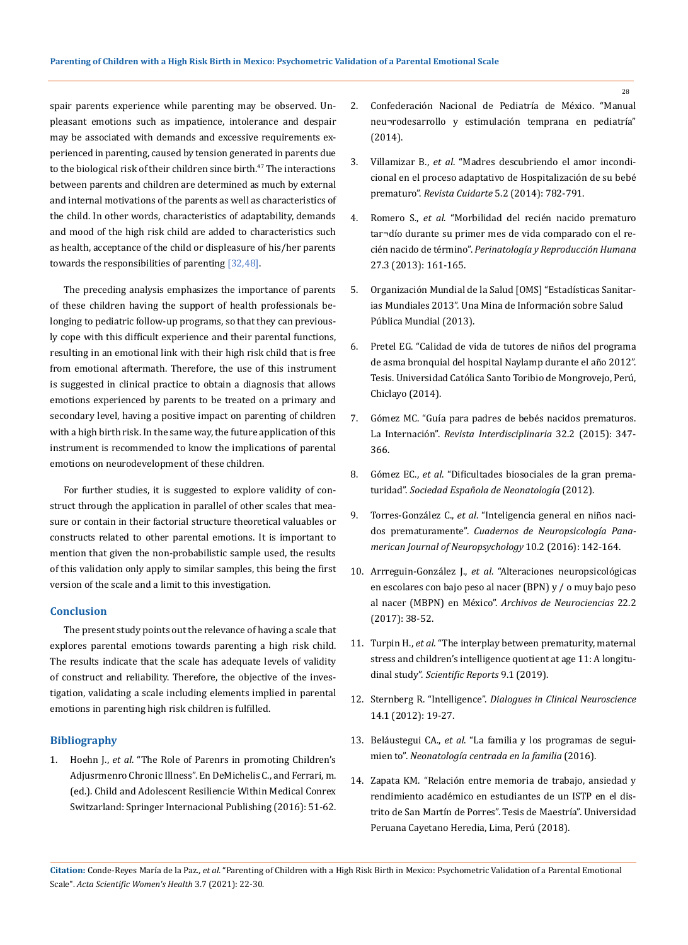spair parents experience while parenting may be observed. Unpleasant emotions such as impatience, intolerance and despair may be associated with demands and excessive requirements experienced in parenting, caused by tension generated in parents due to the biological risk of their children since birth.<sup>47</sup> The interactions between parents and children are determined as much by external and internal motivations of the parents as well as characteristics of the child. In other words, characteristics of adaptability, demands and mood of the high risk child are added to characteristics such as health, acceptance of the child or displeasure of his/her parents towards the responsibilities of parenting [32,48].

The preceding analysis emphasizes the importance of parents of these children having the support of health professionals belonging to pediatric follow-up programs, so that they can previously cope with this difficult experience and their parental functions, resulting in an emotional link with their high risk child that is free from emotional aftermath. Therefore, the use of this instrument is suggested in clinical practice to obtain a diagnosis that allows emotions experienced by parents to be treated on a primary and secondary level, having a positive impact on parenting of children with a high birth risk. In the same way, the future application of this instrument is recommended to know the implications of parental emotions on neurodevelopment of these children.

For further studies, it is suggested to explore validity of construct through the application in parallel of other scales that measure or contain in their factorial structure theoretical valuables or constructs related to other parental emotions. It is important to mention that given the non-probabilistic sample used, the results of this validation only apply to similar samples, this being the first version of the scale and a limit to this investigation.

## **Conclusion**

The present study points out the relevance of having a scale that explores parental emotions towards parenting a high risk child. The results indicate that the scale has adequate levels of validity of construct and reliability. Therefore, the objective of the investigation, validating a scale including elements implied in parental emotions in parenting high risk children is fulfilled.

# **Bibliography**

1. Hoehn J., *et al*[. "The Role of Parenrs in promoting Children's](https://link.springer.com/chapter/10.1007/978-3-319-32223-0_6)  [Adjusrmenro Chronic Illness". En DeMichelis C., and Ferrari, m.](https://link.springer.com/chapter/10.1007/978-3-319-32223-0_6)  [\(ed.\). Child and Adolescent Resiliencie Within Medical Conrex](https://link.springer.com/chapter/10.1007/978-3-319-32223-0_6)  [Switzarland: Springer Internacional Publishing \(2016\): 51-62.](https://link.springer.com/chapter/10.1007/978-3-319-32223-0_6)

- 2. [Confederación Nacional de Pediatría de México. "Manual](https://www.conapemecongresos.org/docs/Manual_Neurodesarrollo.pdf)  [neu¬rodesarrollo y estimulación temprana en pediatría"](https://www.conapemecongresos.org/docs/Manual_Neurodesarrollo.pdf)  [\(2014\).](https://www.conapemecongresos.org/docs/Manual_Neurodesarrollo.pdf)
- 3. Villamizar B., *et al*[. "Madres descubriendo el amor incondi](https://www.redalyc.org/articulo.oa?id=359533181010)[cional en el proceso adaptativo de Hospitalización de su bebé](https://www.redalyc.org/articulo.oa?id=359533181010)  prematuro". *Revista Cuidarte* [5.2 \(2014\): 782-791.](https://www.redalyc.org/articulo.oa?id=359533181010)
- 4. Romero S., *et al*[. "Morbilidad del recién nacido prematuro](http://www.scielo.org.mx/scielo.php?script=sci_arttext&pid=S0187-53372013000300004)  [tar¬dío durante su primer mes de vida comparado con el re](http://www.scielo.org.mx/scielo.php?script=sci_arttext&pid=S0187-53372013000300004)cién nacido de término". *[Perinatología y Reproducción Humana](http://www.scielo.org.mx/scielo.php?script=sci_arttext&pid=S0187-53372013000300004)* [27.3 \(2013\): 161-165.](http://www.scielo.org.mx/scielo.php?script=sci_arttext&pid=S0187-53372013000300004)
- 5. [Organización Mundial de la Salud \[OMS\] "Estadísticas Sanitar](http://apps.who.int/iris/bitstream/10665/82062/1/WHO_HIS_HSI_13.1_spa.pdf?ua=1)[ias Mundiales 2013". Una Mina de Información sobre Salud](http://apps.who.int/iris/bitstream/10665/82062/1/WHO_HIS_HSI_13.1_spa.pdf?ua=1)  [Pública Mundial \(2013\).](http://apps.who.int/iris/bitstream/10665/82062/1/WHO_HIS_HSI_13.1_spa.pdf?ua=1)
- 6. [Pretel EG. "Calidad de vida de tutores de niños del programa](http://tesis.usat.edu.pe/bitstream/20.500.12423/299/1/TL_Pretel_Delgado_ErichGary.pdf)  [de asma bronquial del hospital Naylamp durante el año 2012".](http://tesis.usat.edu.pe/bitstream/20.500.12423/299/1/TL_Pretel_Delgado_ErichGary.pdf)  [Tesis. Universidad Católica Santo Toribio de Mongrovejo, Perú,](http://tesis.usat.edu.pe/bitstream/20.500.12423/299/1/TL_Pretel_Delgado_ErichGary.pdf)  [Chiclayo \(2014\).](http://tesis.usat.edu.pe/bitstream/20.500.12423/299/1/TL_Pretel_Delgado_ErichGary.pdf)
- 7. [Gómez MC. "Guía para padres de bebés nacidos prematuros.](https://www.redalyc.org/pdf/180/18043528009.pdf)  La Internación". *[Revista Interdisciplinaria](https://www.redalyc.org/pdf/180/18043528009.pdf)* 32.2 (2015): 347- [366.](https://www.redalyc.org/pdf/180/18043528009.pdf)
- 8. Gómez EC., *et al*[. "Dificultades biosociales de la gran prema](https://www.ucm.es/data/cont/media/www/pag-15236/prematuridad.pdf)turidad". *[Sociedad Española de Neonatología](https://www.ucm.es/data/cont/media/www/pag-15236/prematuridad.pdf)* (2012).
- 9. Torres-González C., *et al*[. "Inteligencia general en niños naci](https://dialnet.unirioja.es/servlet/articulo?codigo=6042153)dos prematuramente". *[Cuadernos de Neuropsicología Pana](https://dialnet.unirioja.es/servlet/articulo?codigo=6042153)[merican Journal of Neuropsychology](https://dialnet.unirioja.es/servlet/articulo?codigo=6042153)* 10.2 (2016): 142-164.
- 10. Arrreguin-González J., *et al*[. "Alteraciones neuropsicológicas](https://www.medigraphic.com/pdfs/arcneu/ane-2017/ane172e.pdf)  [en escolares con bajo peso al nacer \(BPN\) y / o muy bajo peso](https://www.medigraphic.com/pdfs/arcneu/ane-2017/ane172e.pdf)  al nacer (MBPN) en México". *[Archivos de Neurociencias](https://www.medigraphic.com/pdfs/arcneu/ane-2017/ane172e.pdf)* 22.2 [\(2017\): 38-52.](https://www.medigraphic.com/pdfs/arcneu/ane-2017/ane172e.pdf)
- 11. Turpin H., *et al*[. "The interplay between prematurity, maternal](https://pubmed.ncbi.nlm.nih.gov/30679588/)  [stress and children's intelligence quotient at age 11: A longitu](https://pubmed.ncbi.nlm.nih.gov/30679588/)dinal study". *[Scientific Reports](https://pubmed.ncbi.nlm.nih.gov/30679588/)* 9.1 (2019).
- 12. Sternberg R. "Intelligence". *[Dialogues in Clinical Neuroscience](https://www.ncbi.nlm.nih.gov/pmc/articles/PMC3341646/)* [14.1 \(2012\): 19-27.](https://www.ncbi.nlm.nih.gov/pmc/articles/PMC3341646/)
- 13. Beláustegui CA., *et al*[. "La familia y los programas de segui](https://www.seneo.es/images/site/publicaciones/congresos/1999/doceoc.pdf)mien to". *[Neonatología centrada en la familia](https://www.seneo.es/images/site/publicaciones/congresos/1999/doceoc.pdf)* (2016).
- 14. [Zapata KM. "Relación entre memoria de trabajo, ansiedad y](https://repositorio.upch.edu.pe/bitstream/handle/20.500.12866/3892/Relacion_ZapataPina_Karina.pdf?sequence=1&isAllowed=y)  [rendimiento académico en estudiantes de un ISTP en el dis](https://repositorio.upch.edu.pe/bitstream/handle/20.500.12866/3892/Relacion_ZapataPina_Karina.pdf?sequence=1&isAllowed=y)[trito de San Martín de Porres". Tesis de Maestría". Universidad](https://repositorio.upch.edu.pe/bitstream/handle/20.500.12866/3892/Relacion_ZapataPina_Karina.pdf?sequence=1&isAllowed=y)  [Peruana Cayetano Heredia, Lima, Perú \(2018\).](https://repositorio.upch.edu.pe/bitstream/handle/20.500.12866/3892/Relacion_ZapataPina_Karina.pdf?sequence=1&isAllowed=y)

**Citation:** Conde-Reyes María de la Paz*., et al.* "Parenting of Children with a High Risk Birth in Mexico: Psychometric Validation of a Parental Emotional Scale". *Acta Scientific Women's Health* 3.7 (2021): 22-30.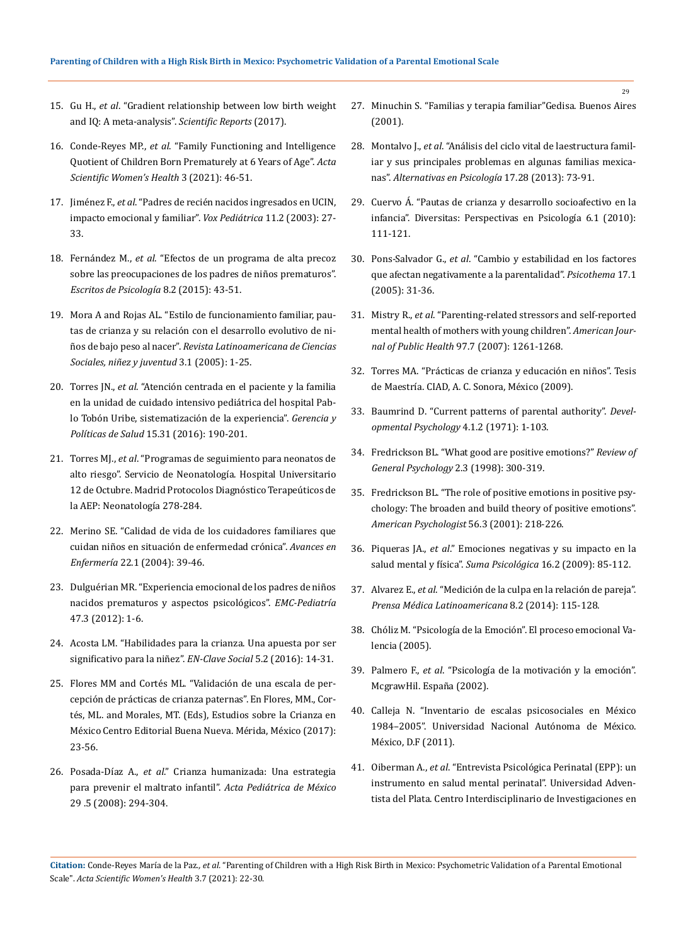- 15. Gu H., *et al*[. "Gradient relationship between low birth weight](https://www.ncbi.nlm.nih.gov/pmc/articles/PMC5740123/)  [and IQ: A meta-analysis".](https://www.ncbi.nlm.nih.gov/pmc/articles/PMC5740123/) *Scientific Reports* (2017).
- 16. Conde-Reyes MP., *et al*[. "Family Functioning and Intelligence](https://actascientific.com/ASWH/pdf/ASWH-SI-03-0008.pdf)  [Quotient of Children Born Prematurely at 6 Years of Age".](https://actascientific.com/ASWH/pdf/ASWH-SI-03-0008.pdf) *Acta [Scientific Women's Health](https://actascientific.com/ASWH/pdf/ASWH-SI-03-0008.pdf)* 3 (2021): 46-51.
- 17. Jiménez F., *et al*[. "Padres de recién nacidos ingresados en UCIN,](https://idus.us.es/xmlui/bitstream/handle/11441/54413/Voxpaed11.2pags27-33.pdf?sequence=1)  [impacto emocional y familiar".](https://idus.us.es/xmlui/bitstream/handle/11441/54413/Voxpaed11.2pags27-33.pdf?sequence=1) *Vox Pediátrica* 11.2 (2003): 27- [33.](https://idus.us.es/xmlui/bitstream/handle/11441/54413/Voxpaed11.2pags27-33.pdf?sequence=1)
- 18. Fernández M., *et al*[. "Efectos de un programa de alta precoz](http://dx.doi.org/10.5231/psy.writ.2015.2104)  [sobre las preocupaciones de los padres de niños prematuros".](http://dx.doi.org/10.5231/psy.writ.2015.2104)  *[Escritos de Psicología](http://dx.doi.org/10.5231/psy.writ.2015.2104)* 8.2 (2015): 43-51.
- 19. [Mora A and Rojas AL. "Estilo de funcionamiento familiar, pau](http://www.scielo.org.co/scielo.php?pid=S1692-715X2005000100008&script=sci_arttext&tlng=pt)[tas de crianza y su relación con el desarrollo evolutivo de ni](http://www.scielo.org.co/scielo.php?pid=S1692-715X2005000100008&script=sci_arttext&tlng=pt)ños de bajo peso al nacer". *[Revista Latinoamericana de Ciencias](http://www.scielo.org.co/scielo.php?pid=S1692-715X2005000100008&script=sci_arttext&tlng=pt)  [Sociales, niñez y juventud](http://www.scielo.org.co/scielo.php?pid=S1692-715X2005000100008&script=sci_arttext&tlng=pt)* 3.1 (2005): 1-25.
- 20. Torres JN., *et al*[. "Atención centrada en el paciente y la familia](https://revistas.javeriana.edu.co/index.php/gerepolsal/article/view/18231)  [en la unidad de cuidado intensivo pediátrica del hospital Pab](https://revistas.javeriana.edu.co/index.php/gerepolsal/article/view/18231)[lo Tobón Uribe, sistematización de la experiencia".](https://revistas.javeriana.edu.co/index.php/gerepolsal/article/view/18231) *Gerencia y Políticas de Salud* [15.31 \(2016\): 190-201.](https://revistas.javeriana.edu.co/index.php/gerepolsal/article/view/18231)
- 21. Torres MJ., *et al*[. "Programas de seguimiento para neonatos de](https://www.aeped.es/sites/default/files/documentos/29.pdf)  [alto riesgo". Servicio de Neonatología. Hospital Universitario](https://www.aeped.es/sites/default/files/documentos/29.pdf)  [12 de Octubre. Madrid Protocolos Diagnóstico Terapeúticos de](https://www.aeped.es/sites/default/files/documentos/29.pdf)  [la AEP: Neonatología 278-284.](https://www.aeped.es/sites/default/files/documentos/29.pdf)
- 22. [Merino SE. "Calidad de vida de los cuidadores familiares que](https://revistas.unal.edu.co/index.php/avenferm/article/view/37936/40169)  [cuidan niños en situación de enfermedad crónica".](https://revistas.unal.edu.co/index.php/avenferm/article/view/37936/40169) *Avances en Enfermería* [22.1 \(2004\): 39-46.](https://revistas.unal.edu.co/index.php/avenferm/article/view/37936/40169)
- 23. [Dulguérian MR. "Experiencia emocional de los padres de niños](https://doi.org/10.1016/S1245-1789(12)62751-6)  [nacidos prematuros y aspectos psicológicos".](https://doi.org/10.1016/S1245-1789(12)62751-6) *EMC-Pediatría* [47.3 \(2012\): 1-6.](https://doi.org/10.1016/S1245-1789(12)62751-6)
- 24. [Acosta LM. "Habilidades para la crianza. Una apuesta por ser](http://repository.lasallista.edu.co:8080/ojs/index.php/EN-Clave/article/view/1386/1451)  [significativo para la niñez".](http://repository.lasallista.edu.co:8080/ojs/index.php/EN-Clave/article/view/1386/1451) *EN-Clave Social* 5.2 (2016): 14-31.
- 25. Flores MM and Cortés ML. "Validación de una escala de percepción de prácticas de crianza paternas". En Flores, MM., Cortés, ML. and Morales, MT. (Eds), Estudios sobre la Crianza en México Centro Editorial Buena Nueva. Mérida, México (2017): 23-56.
- 26. Posada-Díaz A., *et al*[." Crianza humanizada: Una estrategia](https://www.redalyc.org/pdf/4236/423640313010.pdf)  [para prevenir el maltrato infantil".](https://www.redalyc.org/pdf/4236/423640313010.pdf) *Acta Pediátrica de México* [29 .5 \(2008\): 294-304.](https://www.redalyc.org/pdf/4236/423640313010.pdf)
- 27. Minuchin S. "Familias y terapia familiar"Gedisa. Buenos Aires (2001).
- 28. Montalvo J., *et al*[. "Análisis del ciclo vital de laestructura famil](http://pepsic.bvsalud.org/scielo.php?pid=S1405-339X2013000100007&script=sci_abstract&tlng=en)[iar y sus principales problemas en algunas familias mexica](http://pepsic.bvsalud.org/scielo.php?pid=S1405-339X2013000100007&script=sci_abstract&tlng=en)nas". *[Alternativas en Psicología](http://pepsic.bvsalud.org/scielo.php?pid=S1405-339X2013000100007&script=sci_abstract&tlng=en)* 17.28 (2013): 73-91.
- 29. [Cuervo Á. "Pautas de crianza y desarrollo socioafectivo en la](https://www.redalyc.org/pdf/679/67916261009.pdf)  [infancia". Diversitas: Perspectivas en Psicología 6.1 \(2010\):](https://www.redalyc.org/pdf/679/67916261009.pdf)  [111-121.](https://www.redalyc.org/pdf/679/67916261009.pdf)
- 30. Pons-Salvador G., *et al*[. "Cambio y estabilidad en los factores](https://www.redalyc.org/pdf/727/72717105.pdf)  [que afectan negativamente a la parentalidad".](https://www.redalyc.org/pdf/727/72717105.pdf) *Psicothema* 17.1 [\(2005\): 31-36.](https://www.redalyc.org/pdf/727/72717105.pdf)
- 31. Mistry R., *et al*[. "Parenting-related stressors and self-reported](https://ajph.aphapublications.org/doi/pdfplus/10.2105/AJPH.2006.088161)  [mental health of mothers with young children".](https://ajph.aphapublications.org/doi/pdfplus/10.2105/AJPH.2006.088161) *American Journal of Public Health* [97.7 \(2007\): 1261-1268.](https://ajph.aphapublications.org/doi/pdfplus/10.2105/AJPH.2006.088161)
- 32. [Torres MA. "Prácticas de crianza y educación en niños". Tesis](https://www.ciad.mx/archivos/desarrollo/publicaciones/Tesis%20asesoradas/Tesis%20Maestria/30.pdf)  [de Maestría. CIAD, A. C. Sonora, México \(2009\).](https://www.ciad.mx/archivos/desarrollo/publicaciones/Tesis%20asesoradas/Tesis%20Maestria/30.pdf)
- 33. [Baumrind D. "Current patterns of parental authority".](https://psycnet.apa.org/doiLanding?doi=10.1037%2Fh0030372) *Devel[opmental Psychology](https://psycnet.apa.org/doiLanding?doi=10.1037%2Fh0030372)* 4.1.2 (1971): 1-103.
- 34. [Fredrickson BL. "What good are positive emotions?"](https://www.ncbi.nlm.nih.gov/pmc/articles/PMC3156001/) *Review of [General Psychology](https://www.ncbi.nlm.nih.gov/pmc/articles/PMC3156001/)* 2.3 (1998): 300-319.
- 35. [Fredrickson BL. "The role of positive emotions in positive psy](http://dx.doi.org/10.1037/0003-066X.56.3.218)[chology: The broaden and build theory of positive emotions".](http://dx.doi.org/10.1037/0003-066X.56.3.218)  *[American Psychologist](http://dx.doi.org/10.1037/0003-066X.56.3.218)* 56.3 (2001): 218-226.
- 36. Piqueras JA., *et al*[." Emociones negativas y su impacto en la](https://www.redalyc.org/pdf/1342/134213131007.pdf)  [salud mental y física".](https://www.redalyc.org/pdf/1342/134213131007.pdf) *Suma Psicológica* 16.2 (2009): 85-112.
- 37. Alvarez E., *et al*[. "Medición de la culpa en la relación de pareja".](https://www.redalyc.org/pdf/4595/459545413002.pdf)  *[Prensa Médica Latinoamericana](https://www.redalyc.org/pdf/4595/459545413002.pdf)* 8.2 (2014): 115-128.
- 38. [Chóliz M. "Psicología de la Emoción". El proceso emocional Va](https://www.uv.es/=choliz/Proceso%20emocional.pdf)[lencia \(2005\).](https://www.uv.es/=choliz/Proceso%20emocional.pdf)
- 39. Palmero F., *et al*. "Psicología de la motivación y la emoción". McgrawHil. España (2002).
- 40. [Calleja N. "Inventario de escalas psicosociales en México](http://www.psicologia.unam.mx/documentos/pdf/repositorio/InventarioEscalasPsicosocialesNaziraCalleja.pdf)  [1984–2005". Universidad Nacional Autónoma de México.](http://www.psicologia.unam.mx/documentos/pdf/repositorio/InventarioEscalasPsicosocialesNaziraCalleja.pdf)  [México, D.F \(2011\).](http://www.psicologia.unam.mx/documentos/pdf/repositorio/InventarioEscalasPsicosocialesNaziraCalleja.pdf)
- 41. Oiberman A., *et al*[. "Entrevista Psicológica Perinatal \(EPP\): un](https://ri.conicet.gov.ar/handle/11336/115186)  [instrumento en salud mental perinatal". Universidad Adven](https://ri.conicet.gov.ar/handle/11336/115186)[tista del Plata. Centro Interdisciplinario de Investigaciones en](https://ri.conicet.gov.ar/handle/11336/115186)

**Citation:** Conde-Reyes María de la Paz*., et al.* "Parenting of Children with a High Risk Birth in Mexico: Psychometric Validation of a Parental Emotional Scale". *Acta Scientific Women's Health* 3.7 (2021): 22-30.